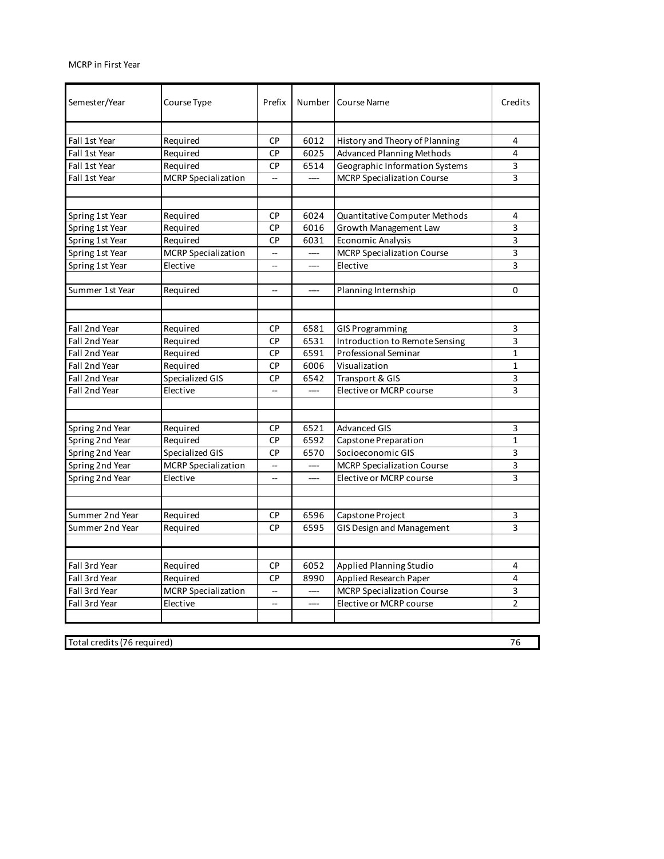## MCRP in First Year

| Semester/Year                     | Course Type                | Prefix                   | Number                   | <b>Course Name</b>                | Credits        |  |  |
|-----------------------------------|----------------------------|--------------------------|--------------------------|-----------------------------------|----------------|--|--|
|                                   |                            |                          |                          |                                   |                |  |  |
| Fall 1st Year                     | Required                   | СP                       | 6012                     | History and Theory of Planning    | 4              |  |  |
| Fall 1st Year                     | Required                   | <b>CP</b>                | 6025                     | <b>Advanced Planning Methods</b>  | 4              |  |  |
| Fall 1st Year                     | Required                   | СP                       | 6514                     | Geographic Information Systems    | 3              |  |  |
| Fall 1st Year                     | <b>MCRP</b> Specialization | u,                       | $\overline{\phantom{a}}$ | <b>MCRP Specialization Course</b> | 3              |  |  |
|                                   |                            |                          |                          |                                   |                |  |  |
| Spring 1st Year                   | Required                   | СP                       | 6024                     | Quantitative Computer Methods     | 4              |  |  |
| Spring 1st Year                   | Required                   | СP                       | 6016                     | Growth Management Law             | 3              |  |  |
| Spring 1st Year                   | Required                   | СP                       | 6031                     | <b>Economic Analysis</b>          | 3              |  |  |
| Spring 1st Year                   | <b>MCRP</b> Specialization | --                       |                          | <b>MCRP Specialization Course</b> | 3              |  |  |
| Spring 1st Year                   | Elective                   | --                       | ----                     | Elective                          | 3              |  |  |
|                                   |                            |                          |                          |                                   |                |  |  |
| Summer 1st Year                   | Required                   | $\overline{\phantom{a}}$ | ----                     | Planning Internship               | 0              |  |  |
|                                   |                            |                          |                          |                                   |                |  |  |
| Fall 2nd Year                     | Required                   | <b>CP</b>                | 6581                     | <b>GIS Programming</b>            | 3              |  |  |
| Fall 2nd Year                     | Required                   | СP                       | 6531                     | Introduction to Remote Sensing    | 3              |  |  |
| Fall 2nd Year                     | Required                   | <b>CP</b>                | 6591                     | Professional Seminar              | $\mathbf{1}$   |  |  |
| Fall 2nd Year                     | Required                   | <b>CP</b>                | 6006                     | Visualization                     | $\mathbf{1}$   |  |  |
| Fall 2nd Year                     | Specialized GIS            | CP                       | 6542                     | Transport & GIS                   | 3              |  |  |
| Fall 2nd Year                     | Elective                   |                          |                          | Elective or MCRP course           | 3              |  |  |
|                                   |                            |                          |                          |                                   |                |  |  |
|                                   |                            |                          |                          |                                   |                |  |  |
| Spring 2nd Year                   | Required                   | СP                       | 6521                     | <b>Advanced GIS</b>               | 3              |  |  |
| Spring 2nd Year                   | Required                   | СP                       | 6592                     | Capstone Preparation              | $\mathbf{1}$   |  |  |
| Spring 2nd Year                   | Specialized GIS            | СP                       | 6570                     | Socioeconomic GIS                 | 3              |  |  |
| Spring 2nd Year                   | <b>MCRP</b> Specialization | $\overline{\phantom{a}}$ | ----                     | <b>MCRP Specialization Course</b> | 3              |  |  |
| Spring 2nd Year                   | Elective                   | $\overline{\phantom{a}}$ | ----                     | Elective or MCRP course           | 3              |  |  |
|                                   |                            |                          |                          |                                   |                |  |  |
| Summer 2nd Year                   | Required                   | СP                       | 6596                     | Capstone Project                  | 3              |  |  |
| Summer 2nd Year                   | Required                   | <b>CP</b>                | 6595                     | <b>GIS Design and Management</b>  | 3              |  |  |
|                                   |                            |                          |                          |                                   |                |  |  |
| Fall 3rd Year                     | Required                   | <b>CP</b>                | 6052                     | Applied Planning Studio           | 4              |  |  |
| Fall 3rd Year                     | Required                   | <b>CP</b>                | 8990                     | Applied Research Paper            | 4              |  |  |
| Fall 3rd Year                     | <b>MCRP</b> Specialization | --                       |                          | <b>MCRP Specialization Course</b> | 3              |  |  |
| Fall 3rd Year                     | Elective                   | --                       |                          | Elective or MCRP course           | $\overline{2}$ |  |  |
|                                   |                            |                          |                          |                                   |                |  |  |
|                                   |                            |                          |                          |                                   |                |  |  |
| Total credits (76 required)<br>76 |                            |                          |                          |                                   |                |  |  |